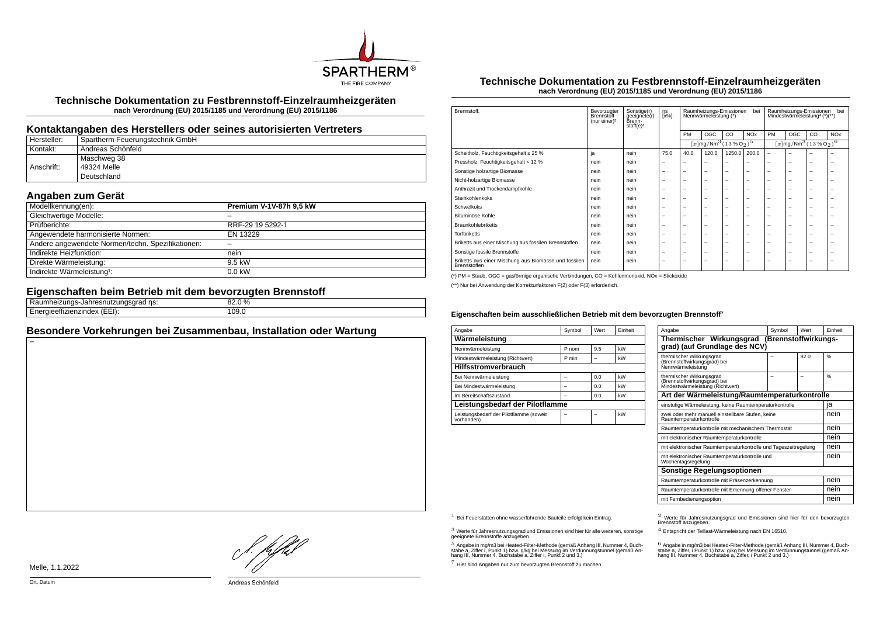

**Technische Dokumentation zu Festbrennstoff-Einzelraumheizgeräten nach Verordnung (EU) 2015/1185 und Verordnung (EU) 2015/1186**

## **Kontaktangaben des Herstellers oder seines autorisierten Vertreters**

| Hersteller: | Spartherm Feuerungstechnik GmbH |
|-------------|---------------------------------|
| Kontakt:    | ' Andreas Schönfeld             |
|             | Maschweg 38                     |
| Anschrift:  | 49324 Melle                     |
|             | Deutschland                     |

# **Angaben zum Gerät**

| Modellkennung(en):                                | Premium V-1V-87h 9,5 kW |
|---------------------------------------------------|-------------------------|
| Gleichwertige Modelle:                            |                         |
| Prüfberichte:                                     | RRF-29 19 5292-1        |
| Angewendete harmonisierte Normen:                 | EN 13229                |
| Andere angewendete Normen/techn. Spezifikationen: |                         |
| Indirekte Heizfunktion:                           | nein                    |
| Direkte Wärmeleistung:                            | 9.5 kW                  |
| Indirekte Wärmeleistung <sup>1</sup> :            | $0.0$ kW                |

## **Eigenschaften beim Betrieb mit dem bevorzugten Brennstoff**

| .<br>ns:<br>эπ<br>suidu                                  | 82.0 %<br>nn |  |
|----------------------------------------------------------|--------------|--|
| --<br>$\sqrt{2}$<br>-----<br>.<br>. . <i>. .</i><br>---- | 109.0        |  |
|                                                          |              |  |

## **Besondere Vorkehrungen bei Zusammenbau, Installation oder Wartung**

#### **Technische Dokumentation zu Festbrennstoff-Einzelraumheizgeräten nach Verordnung (EU) 2015/1185 und Verordnung (EU) 2015/1186**

| Brennstoff:                                                           | Bevorzugter<br>Brennstoff<br>(nur einer) <sup>2</sup> : | Sonstige(r)<br>geeignete(r)<br>Brenn-<br>$stoff(e)3$ : | ηs<br>[x%]: | bei<br>Raumheizungs-Emissionen<br>Nennwärmeleistung (*) |                                                        |                          | hei<br>Raumheizungs-Emissionen<br>Mindestwärmeleistung <sup>4</sup> (*)(**) |                                                              |     |    |                       |
|-----------------------------------------------------------------------|---------------------------------------------------------|--------------------------------------------------------|-------------|---------------------------------------------------------|--------------------------------------------------------|--------------------------|-----------------------------------------------------------------------------|--------------------------------------------------------------|-----|----|-----------------------|
|                                                                       |                                                         |                                                        |             | PM                                                      | <b>OGC</b>                                             | CO.                      | <b>NO<sub>x</sub></b>                                                       | PM                                                           | OGC | CO | <b>NO<sub>x</sub></b> |
|                                                                       |                                                         |                                                        |             |                                                         | $\sqrt{x \log N}$ Mm <sup>3</sup> $\sqrt{(13\%0_2)^5}$ |                          |                                                                             | $[x]$ mg/Nm <sup>3</sup> (13 % O <sub>2</sub> ) <sup>6</sup> |     |    |                       |
| Scheitholz, Feuchtigkeitsgehalt ≤ 25 %                                | ja                                                      | nein                                                   | 75.0        | 40.0                                                    | 120.0                                                  | 1250.0                   | 200.0                                                                       | $\overline{\phantom{0}}$                                     | ۰   |    |                       |
| Pressholz, Feuchtigkeitsgehalt < 12 %                                 | nein                                                    | nein                                                   | -           | -                                                       | -                                                      | -                        |                                                                             | -                                                            | -   | -  | -                     |
| Sonstige holzartige Biomasse                                          | nein                                                    | nein                                                   | -           | -                                                       | $\overline{\phantom{a}}$                               | $\overline{\phantom{0}}$ | -                                                                           | -                                                            | -   | -  | -                     |
| Nicht-holzartige Biomasse                                             | nein                                                    | nein                                                   | -           | -                                                       | $\overline{\phantom{a}}$                               | $\overline{\phantom{0}}$ | -                                                                           | -                                                            | -   | -  | -                     |
| Anthrazit und Trockendampfkohle                                       | nein                                                    | nein                                                   | -           | -                                                       | $\overline{\phantom{a}}$                               | $\overline{\phantom{0}}$ | -                                                                           | -                                                            | -   | -  | -                     |
| Steinkohlenkoks                                                       | nein                                                    | nein                                                   | -           | -                                                       | $\overline{\phantom{a}}$                               | $\overline{\phantom{0}}$ | -                                                                           | -                                                            | -   | -  | -                     |
| Schwelkoks                                                            | nein                                                    | nein                                                   | -           | -                                                       | $\overline{\phantom{a}}$                               | $\overline{\phantom{0}}$ | -                                                                           | -                                                            | -   | -  | -                     |
| Bituminöse Kohle                                                      | nein                                                    | nein                                                   | -           | -                                                       | $\overline{\phantom{a}}$                               | $\overline{\phantom{0}}$ | -                                                                           | -                                                            | -   | -  | -                     |
| <b>Braunkohlebriketts</b>                                             | nein                                                    | nein                                                   | -           | -                                                       | $\overline{\phantom{a}}$                               | $\overline{\phantom{0}}$ | -                                                                           | -                                                            | -   | -  | -                     |
| <b>Torfbriketts</b>                                                   | nein                                                    | nein                                                   | -           | -                                                       | $\overline{\phantom{a}}$                               | $\overline{\phantom{0}}$ | -                                                                           | -                                                            | -   | -  | -                     |
| Briketts aus einer Mischung aus fossilen Brennstoffen                 | nein                                                    | nein                                                   | -           | -                                                       | $\overline{\phantom{a}}$                               | $\overline{\phantom{0}}$ | -                                                                           | -                                                            | -   | -  | -                     |
| Sonstige fossile Brennstoffe                                          | nein                                                    | nein                                                   | -           | -                                                       | $\overline{\phantom{a}}$                               | $\overline{\phantom{0}}$ | -                                                                           | -                                                            | -   | -  | -                     |
| Briketts aus einer Mischung aus Biomasse und fossilen<br>Brennstoffen | nein                                                    | nein                                                   | -           | -                                                       | $\overline{\phantom{a}}$                               | $\overline{\phantom{0}}$ | -                                                                           | -                                                            | -   | -  | -                     |

(\*) PM = Staub, OGC = gasförmige organische Verbindungen, CO = Kohlenmonoxid, NOx = Stickoxide

(\*\*) Nur bei Anwendung der Korrekturfaktoren F(2) oder F(3) erforderlich.

#### **Eigenschaften beim ausschließlichen Betrieb mit dem bevorzugten Brennstoff⁷**

| Angabe                                                | Symbol | Wert | Finheit |  |  |  |  |  |
|-------------------------------------------------------|--------|------|---------|--|--|--|--|--|
| Wärmeleistung                                         |        |      |         |  |  |  |  |  |
| Nennwärmeleistung                                     | P nom  | 9.5  | kW      |  |  |  |  |  |
| Mindestwärmeleistung (Richtwert)                      | P min  |      | kW      |  |  |  |  |  |
| <b>Hilfsstromverbrauch</b>                            |        |      |         |  |  |  |  |  |
| Bei Nennwärmeleistung                                 |        | 0.0  | kW      |  |  |  |  |  |
| Bei Mindestwärmeleistung                              | -      | 0.0  | kW      |  |  |  |  |  |
| Im Bereitschaftszustand                               |        | 0.0  | kW      |  |  |  |  |  |
| Leistungsbedarf der Pilotflamme                       |        |      |         |  |  |  |  |  |
| Leistungsbedarf der Pilotflamme (soweit<br>vorhanden) | -      |      | kW      |  |  |  |  |  |

| Angabe                                                                                       | Symbol | Wert | Finheit |  |  |
|----------------------------------------------------------------------------------------------|--------|------|---------|--|--|
| Thermischer Wirkungsgrad (Brennstoffwirkungs-<br>grad) (auf Grundlage des NCV)               |        |      |         |  |  |
| thermischer Wirkungsgrad<br>(Brennstoffwirkungsgrad) bei<br>Nennwärmeleistung                |        | 82.0 | %       |  |  |
| thermischer Wirkungsgrad<br>(Brennstoffwirkungsgrad) bei<br>Mindestwärmeleistung (Richtwert) |        |      | %       |  |  |
| Art der Wärmeleistung/Raumtemperaturkontrolle                                                |        |      |         |  |  |
| einstufige Wärmeleistung, keine Raumtemperaturkontrolle                                      |        |      | ıa      |  |  |
| zwei oder mehr manuell einstellbare Stufen, keine<br>Raumtemperaturkontrolle                 |        |      |         |  |  |
| Raumtemperaturkontrolle mit mechanischem Thermostat                                          |        |      | nein    |  |  |
| mit elektronischer Raumtemperaturkontrolle                                                   |        |      | nein    |  |  |
| mit elektronischer Raumtemperaturkontrolle und Tageszeitregelung                             |        |      | nein    |  |  |
| mit elektronischer Raumtemperaturkontrolle und<br>Wochentagsregelung                         |        |      | nein    |  |  |
| Sonstige Regelungsoptionen                                                                   |        |      |         |  |  |
| Raumtemperaturkontrolle mit Präsenzerkennung                                                 |        |      | nein    |  |  |
| Raumtemperaturkontrolle mit Erkennung offener Fenster                                        |        |      | nein    |  |  |
| mit Fernbedienungsoption                                                                     |        |      | nein    |  |  |

 $3$  Werte für Jahresnutzungsgrad und Emissionen sind hier für alle weiteren, sonstige geeignete Brennstoffe anzugeben.

 $5$  Angabe in mg/m3 bei Heated-Filter-Methode (gemäß Anhang III, Nummer 4, Buchstabe a, Ziffer i, Punkt 1) bzw. g/kg bei Messung im Verdünnungstunnel (gemäß An-hang III, Nummer 4, Buchstabe a, Ziffer i, Punkt 2 und 3.)

7 Hier sind Angaben nur zum bevorzugten Brennstoff zu machen.

1 Bei Feuerstätten ohne wasserführende Bauteile erfolgt kein Eintrag. 2 Werte für Jahresnutzungsgrad und Emissionen sind hier für den bevorzugten Brennstoff anzugeben.

4 Entspricht der Teillast-Wärmeleistung nach EN 16510.

.<br>stabe a, Ziffer, i Punkt 1) bzw. g/kg bei Messung im Verdünnungstunnel (gemäß An-<br>hang III, Nummer 4, Buchstabe a, Ziffer, i Punkt 2 und 3.)<br>hang III, Nummer 4, Buchstabe a, Ziffer, i Punkt 2 und 3.)

Melle, 1.1.2022

}. pfh;f

Andreas Schönfeld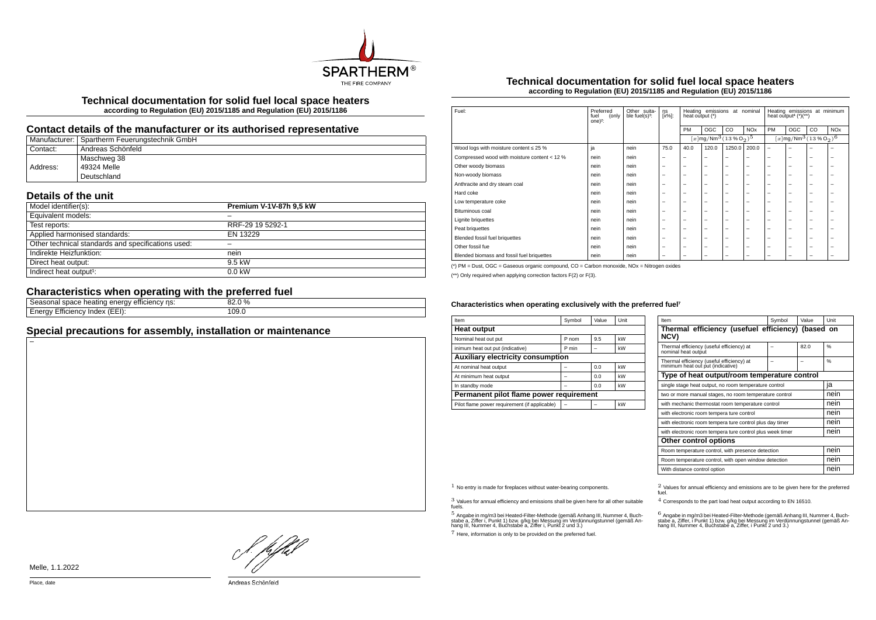

**Technical documentation for solid fuel local space heaters according to Regulation (EU) 2015/1185 and Regulation (EU) 2015/1186**

## **Contact details of the manufacturer or its authorised representative**

|          | Manufacturer:   Spartherm Feuerungstechnik GmbH |
|----------|-------------------------------------------------|
| Contact: | <sup>i</sup> Andreas Schönfeld                  |
|          | Maschweg 38                                     |
| Address: | 49324 Melle                                     |
|          | Deutschland                                     |

## **Details of the unit**

| Model identifier(s):                               | Premium V-1V-87h 9,5 kW |
|----------------------------------------------------|-------------------------|
| Equivalent models:                                 |                         |
| Test reports:                                      | RRF-29 19 5292-1        |
| Applied harmonised standards:                      | EN 13229                |
| Other technical standards and specifications used: |                         |
| Indirekte Heizfunktion:                            | nein                    |
| Direct heat output:                                | 9.5 kW                  |
| Indirect heat output <sup>1</sup> :                | $0.0$ kW                |

# **Characteristics when operating with the preferred fuel**

| ns:<br>emcienc<br>ene<br>neating<br>suace i<br>asunan<br>∙ ອ∡         | $\%$  |  |
|-----------------------------------------------------------------------|-------|--|
| $\sqrt{2}$<br>cienc <sup>,</sup><br>$(EE)$ :<br>naex<br>****<br>-1116 | 109.0 |  |
|                                                                       |       |  |

## **Special precautions for assembly, installation or maintenance**

#### **Technical documentation for solid fuel local space heaters according to Regulation (EU) 2015/1185 and Regulation (EU) 2015/1186**

| Fuel:                                        | Preferred<br>(only<br>fuel<br>one $)^2$ : | Other suita-<br>ble fuel(s) <sup>3</sup> : | ηs<br>[x%]:              | Heating emissions<br>at nominal<br>heat output (*) |                                                   |                          | Heating emissions at minimum<br>heat output <sup>4</sup> $(*)$ (**) |                          |                                                              |    |            |
|----------------------------------------------|-------------------------------------------|--------------------------------------------|--------------------------|----------------------------------------------------|---------------------------------------------------|--------------------------|---------------------------------------------------------------------|--------------------------|--------------------------------------------------------------|----|------------|
|                                              |                                           |                                            |                          | PM                                                 | OGC                                               | CO                       | <b>NOx</b>                                                          | PM                       | OGC                                                          | CO | <b>NOx</b> |
|                                              |                                           |                                            |                          |                                                    | $[x \, \text{mg}/\text{Nm}^3 \, \text{(13%02)}^5$ |                          |                                                                     |                          | $[x]$ mg/Nm <sup>3</sup> (13 % O <sub>2</sub> ) <sup>6</sup> |    |            |
| Wood logs with moisture content $\leq 25$ %  | ja                                        | nein                                       | 75.0                     | 40.0                                               | 120.0                                             | 1250.0                   | 200.0                                                               | $\overline{\phantom{m}}$ | -                                                            | -  | -          |
| Compressed wood with moisture content < 12 % | nein                                      | nein                                       |                          | -                                                  | $\overline{\phantom{0}}$                          | $\overline{\phantom{0}}$ | $\overline{\phantom{0}}$                                            | $\overline{\phantom{0}}$ | -                                                            | -  | -          |
| Other woody biomass                          | nein                                      | nein                                       | -                        | -                                                  | -                                                 | $\overline{\phantom{0}}$ | $\overline{\phantom{0}}$                                            | $\overline{\phantom{0}}$ | -                                                            | -  | -          |
| Non-woody biomass                            | nein                                      | nein                                       | -                        | -                                                  | -                                                 | $\overline{\phantom{0}}$ | $\overline{\phantom{0}}$                                            | $\overline{\phantom{0}}$ | -                                                            | -  | -          |
| Anthracite and dry steam coal                | nein                                      | nein                                       |                          | $\overline{\phantom{0}}$                           | $\overline{\phantom{0}}$                          | $\overline{\phantom{m}}$ | $\overline{\phantom{m}}$                                            | $\overline{\phantom{0}}$ | -                                                            | -  | -          |
| Hard coke                                    | nein                                      | nein                                       | -                        | -                                                  | -                                                 | -                        | $\overline{\phantom{0}}$                                            | $\overline{\phantom{0}}$ | -                                                            | -  | ۰          |
| Low temperature coke                         | nein                                      | nein                                       | -                        | -                                                  | -                                                 | -                        | $\overline{\phantom{0}}$                                            | $\overline{\phantom{0}}$ | -                                                            | -  | -          |
| Bituminous coal                              | nein                                      | nein                                       | -                        | -                                                  | -                                                 | -                        | $\overline{\phantom{0}}$                                            | $\overline{\phantom{0}}$ | -                                                            | -  | -          |
| <b>Lignite briquettes</b>                    | nein                                      | nein                                       | -                        | -                                                  | -                                                 | -                        | $\overline{\phantom{0}}$                                            | $\overline{\phantom{0}}$ | -                                                            | -  | -          |
| Peat briquettes                              | nein                                      | nein                                       | -                        | -                                                  | -                                                 | -                        | $\overline{\phantom{0}}$                                            | $\overline{\phantom{0}}$ | -                                                            | -  | -          |
| Blended fossil fuel briquettes               | nein                                      | nein                                       |                          | -                                                  | $\overline{\phantom{0}}$                          | $\overline{\phantom{m}}$ | $\overline{\phantom{m}}$                                            | $\overline{\phantom{0}}$ | -                                                            | -  | -          |
| Other fossil fue                             | nein                                      | nein                                       | -                        | -                                                  | -                                                 | $\overline{\phantom{0}}$ | $\overline{\phantom{0}}$                                            | $\overline{\phantom{0}}$ | -                                                            | -  | -          |
| Blended biomass and fossil fuel briquettes   | nein                                      | nein                                       | $\overline{\phantom{0}}$ | -                                                  | -                                                 | -                        | $\overline{\phantom{0}}$                                            | $\overline{\phantom{0}}$ | -                                                            | -  | -          |

(\*) PM = Dust, OGC = Gaseous organic compound, CO = Carbon monoxide, NOx = Nitrogen oxides

(\*\*) Only required when applying correction factors F(2) or F(3).

#### Characteristics when operating exclusively with the preferred fuel<sup>7</sup>

| Item                                          | Symbol | Value | Unit |  |  |
|-----------------------------------------------|--------|-------|------|--|--|
| <b>Heat output</b>                            |        |       |      |  |  |
| Nominal heat out put                          | P nom  | 9.5   | kW   |  |  |
| inimum heat out put (indicative)              | P min  |       | kW   |  |  |
| <b>Auxiliary electricity consumption</b>      |        |       |      |  |  |
| At nominal heat output                        |        | 0.0   | kW   |  |  |
| At minimum heat output                        |        | 0.0   | kW   |  |  |
| In standby mode                               |        | 0.0   | kW   |  |  |
| Permanent pilot flame power requirement       |        |       |      |  |  |
| Pilot flame power requirement (if applicable) |        |       | kW   |  |  |

| Item                                                                           | Symbol | Value | Unit          |  |  |
|--------------------------------------------------------------------------------|--------|-------|---------------|--|--|
| Thermal efficiency (usefuel efficiency) (based on<br>NCV)                      |        |       |               |  |  |
| Thermal efficiency (useful efficiency) at<br>nominal heat output               |        | 82.0  | $\frac{9}{6}$ |  |  |
| Thermal efficiency (useful efficiency) at<br>minimum heat out put (indicative) |        |       | %             |  |  |
| Type of heat output/room temperature control                                   |        |       |               |  |  |
| single stage heat output, no room temperature control                          |        |       | ia            |  |  |
| two or more manual stages, no room temperature control                         | nein   |       |               |  |  |
| with mechanic thermostat room temperature control                              |        |       |               |  |  |
| with electronic room tempera ture control                                      |        |       | nein          |  |  |
| with electronic room tempera ture control plus day timer                       |        |       | nein          |  |  |
| with electronic room tempera ture control plus week timer                      |        |       | nein          |  |  |
| Other control options                                                          |        |       |               |  |  |
| Room temperature control, with presence detection                              | nein   |       |               |  |  |
| Room temperature control, with open window detection                           | nein   |       |               |  |  |
| With distance control option                                                   |        |       | nein          |  |  |

3 Values for annual efficiency and emissions shall be given here for all other suitable fuels.

.<br>5 Angabe a, Ziffer i, Punkt 1) bzw. g/kg bei Messung im Verdünnungstunnel (gemäß An-<br>hang III, Nummer 4, Buchstabe a, Ziffer i, Punkt 2 und 3.)<br>hang III, Nummer 4, Buchstabe a, Ziffer i, Punkt 2 und 3.)

7 Here, information is only to be provided on the preferred fuel.

 $1$  No entry is made for fireplaces without water-bearing components.  $2$  Values for annual efficiency and emissions are to be given here for the preferred fuel.

4 Corresponds to the part load heat output according to EN 16510.

.<br>stabe a, Ziffer, i Punkt 1) bzw. g/kg bei Messung im Verdünnungstunner 4, Buch-<br>hang III, Nummer 4, Buchstabe a, Ziffer, i Punkt 2 und 3.)<br>hang III, Nummer 4, Buchstabe a, Ziffer, i Punkt 2 und 3.)

L pfhil

Melle, 1.1.2022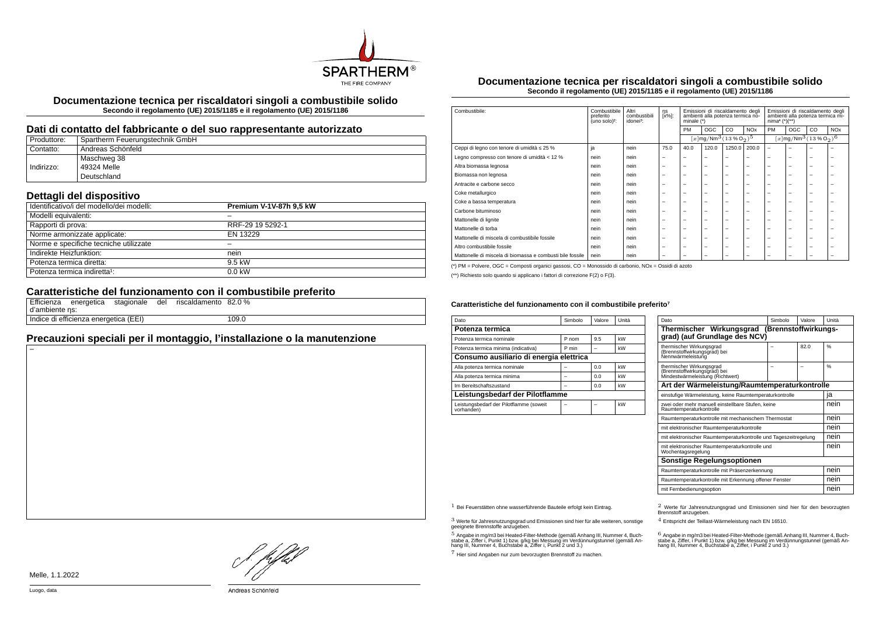

**Documentazione tecnica per riscaldatori singoli a combustibile solido Secondo il regolamento (UE) 2015/1185 e il regolamento (UE) 2015/1186**

## **Dati di contatto del fabbricante o del suo rappresentante autorizzato**

| Produttore: | Spartherm Feuerungstechnik GmbH |
|-------------|---------------------------------|
| Contatto:   | Andreas Schönfeld               |
|             | Maschweg 38                     |
| Indirizzo:  | 49324 Melle                     |
|             | Deutschland                     |

## **Dettagli del dispositivo**

| Identificativo/i del modello/dei modelli: | <b>Premium V-1V-87h 9.5 kW</b> |
|-------------------------------------------|--------------------------------|
| Modelli equivalenti:                      |                                |
| Rapporti di prova:                        | RRF-29 19 5292-1               |
| Norme armonizzate applicate:              | EN 13229                       |
| Norme e specifiche tecniche utilizzate    |                                |
| Indirekte Heizfunktion:                   | nein                           |
| Potenza termica diretta:                  | 9.5 kW                         |
| Potenza termica indiretta <sup>1</sup> :  | $0.0$ kW                       |

# **Caratteristiche del funzionamento con il combustibile preferito**

| d'ambiente ns: | Efficienza energetica stagionale      |  | del riscaldamento 82.0 % |       |
|----------------|---------------------------------------|--|--------------------------|-------|
|                | Indice di efficienza energetica (EEI) |  |                          | 109.0 |

## **Precauzioni speciali per il montaggio, l'installazione o la manutenzione**

**Documentazione tecnica per riscaldatori singoli a combustibile solido Secondo il regolamento (UE) 2015/1185 e il regolamento (UE) 2015/1186**

| Combustibile:                                             | Combustibile<br>preferito<br>(uno solo) <sup>2</sup> : | Altri<br>combustibili<br>idonei <sup>3</sup> : | ηs<br>[x%]:              | Emissioni di riscaldamento degli<br>ambienti alla potenza termica no-<br>minale $(*)$ |                          | Emissioni di riscaldamento degli<br>ambienti alla potenza termica mi-<br>$nima4 (*)(**)$ |                       |                          |                          |                                                                |            |
|-----------------------------------------------------------|--------------------------------------------------------|------------------------------------------------|--------------------------|---------------------------------------------------------------------------------------|--------------------------|------------------------------------------------------------------------------------------|-----------------------|--------------------------|--------------------------|----------------------------------------------------------------|------------|
|                                                           |                                                        |                                                |                          | PM                                                                                    | <b>OGC</b>               | CO                                                                                       | <b>NO<sub>x</sub></b> | <b>PM</b>                | OGC                      | CO                                                             | <b>NOx</b> |
|                                                           |                                                        |                                                |                          |                                                                                       |                          | $[x]$ mg/Nm <sup>3</sup> (13 % O <sub>2</sub> ) <sup>5</sup>                             |                       |                          |                          | $[x]$ mg/Nm <sup>3</sup> $(13\%$ O <sub>2</sub> ) <sup>6</sup> |            |
| Ceppi di legno con tenore di umidità ≤ 25 %               | ja                                                     | nein                                           | 75.0                     | 40.0                                                                                  | 120.0                    | 1250.0                                                                                   | 200.0                 | $\overline{\phantom{0}}$ | -                        | -                                                              |            |
| Legno compresso con tenore di umidità < 12 %              | nein                                                   | nein                                           | $\overline{\phantom{a}}$ | $\overline{\phantom{0}}$                                                              | $\overline{\phantom{a}}$ | -                                                                                        | -                     | -                        | $\overline{\phantom{0}}$ | $\overline{\phantom{0}}$                                       | -          |
| Altra biomassa legnosa                                    | nein                                                   | nein                                           | $\overline{\phantom{0}}$ | $\overline{\phantom{0}}$                                                              | $\overline{\phantom{0}}$ | -                                                                                        | -                     | $\overline{\phantom{a}}$ | $\overline{\phantom{0}}$ | -                                                              | -          |
| Biomassa non legnosa                                      | nein                                                   | nein                                           | $\overline{\phantom{0}}$ | $\overline{\phantom{0}}$                                                              | $\overline{\phantom{a}}$ | -                                                                                        | -                     | -                        | -                        | -                                                              |            |
| Antracite e carbone secco                                 | nein                                                   | nein                                           | $\overline{\phantom{0}}$ | $\overline{\phantom{a}}$                                                              | $\overline{\phantom{a}}$ | -                                                                                        | -                     | -                        | -                        | -                                                              |            |
| Coke metallurgico                                         | nein                                                   | nein                                           | $\overline{\phantom{0}}$ | $\overline{\phantom{0}}$                                                              | $\overline{\phantom{a}}$ | -                                                                                        | -                     | -                        | -                        | -                                                              |            |
| Coke a bassa temperatura                                  | nein                                                   | nein                                           | $\overline{\phantom{0}}$ | $\overline{\phantom{0}}$                                                              | $\overline{\phantom{0}}$ | -                                                                                        | -                     | $\overline{\phantom{a}}$ | -                        | -                                                              | -          |
| Carbone bituminoso                                        | nein                                                   | nein                                           | $\overline{\phantom{0}}$ | $\overline{\phantom{0}}$                                                              | $\overline{\phantom{a}}$ | -                                                                                        | -                     | $\overline{\phantom{0}}$ | $\overline{\phantom{0}}$ | -                                                              |            |
| Mattonelle di lignite                                     | nein                                                   | nein                                           | $\overline{\phantom{0}}$ | $\overline{\phantom{0}}$                                                              | $\overline{\phantom{a}}$ | -                                                                                        | -                     | -                        | -                        | -                                                              |            |
| Mattonelle di torba                                       | nein                                                   | nein                                           | $\overline{\phantom{0}}$ | $\overline{\phantom{a}}$                                                              | $\overline{\phantom{a}}$ | -                                                                                        | -                     | -                        | -                        | -                                                              |            |
| Mattonelle di miscela di combustibile fossile             | nein                                                   | nein                                           | $\overline{\phantom{0}}$ | $\overline{\phantom{a}}$                                                              | $\overline{\phantom{a}}$ | -                                                                                        | -                     | -                        | -                        | -                                                              |            |
| Altro combustibile fossile                                | nein                                                   | nein                                           | $\overline{\phantom{0}}$ | $\overline{\phantom{0}}$                                                              | $\overline{\phantom{0}}$ | -                                                                                        | -                     | $\overline{\phantom{a}}$ | -                        | -                                                              |            |
| Mattonelle di miscela di biomassa e combusti bile fossile | nein                                                   | nein                                           | $\overline{\phantom{0}}$ | $\overline{\phantom{0}}$                                                              | $\overline{\phantom{a}}$ | -                                                                                        | -                     | -                        | -                        | -                                                              |            |

(\*) PM = Polvere, OGC = Composti organici gassosi, CO = Monossido di carbonio, NOx = Ossidi di azoto

(\*\*) Richiesto solo quando si applicano i fattori di correzione F(2) o F(3).

#### Caratteristiche del funzionamento con il combustibile preferito<sup>7</sup>

| Dato                                                  | Simbolo | Valore | Unità |  |  |  |
|-------------------------------------------------------|---------|--------|-------|--|--|--|
| Potenza termica                                       |         |        |       |  |  |  |
| Potenza termica nominale                              | P nom   | 9.5    | kW    |  |  |  |
| Potenza termica minima (indicativa)                   | P min   |        | kW    |  |  |  |
| Consumo ausiliario di energia elettrica               |         |        |       |  |  |  |
| Alla potenza termica nominale                         |         | 0.0    | kW    |  |  |  |
| Alla potenza termica minima                           |         | 0.0    | kW    |  |  |  |
| Im Bereitschaftszustand                               |         | 0.0    | kW    |  |  |  |
| Leistungsbedarf der Pilotflamme                       |         |        |       |  |  |  |
| Leistungsbedarf der Pilotflamme (soweit<br>vorhanden) |         |        | kW    |  |  |  |

| Dato                                                                                         | Simbolo | Valore | Unità |  |  |
|----------------------------------------------------------------------------------------------|---------|--------|-------|--|--|
| Thermischer Wirkungsgrad (Brennstoffwirkungs-<br>grad) (auf Grundlage des NCV)               |         |        |       |  |  |
| thermischer Wirkungsgrad<br>(Brennstoffwirkungsgrad) bei<br>Nennwärmeleistung                |         | 82.0   | 0/6   |  |  |
| thermischer Wirkungsgrad<br>(Brennstoffwirkungsgräd) bei<br>Mindestwärmeleistung (Richtwert) |         |        | 0/6   |  |  |
| Art der Wärmeleistung/Raumtemperaturkontrolle                                                |         |        |       |  |  |
| einstufige Wärmeleistung, keine Raumtemperaturkontrolle                                      |         |        | ia    |  |  |
| zwei oder mehr manuell einstellbare Stufen, keine<br>Raumtemperaturkontrolle                 |         |        |       |  |  |
| Raumtemperaturkontrolle mit mechanischem Thermostat                                          |         |        | nein  |  |  |
| mit elektronischer Raumtemperaturkontrolle                                                   |         |        |       |  |  |
| mit elektronischer Raumtemperaturkontrolle und Tageszeitregelung                             |         |        | nein  |  |  |
| mit elektronischer Raumtemperaturkontrolle und<br>Wochentagsregelung                         |         |        |       |  |  |
| Sonstige Regelungsoptionen                                                                   |         |        |       |  |  |
| Raumtemperaturkontrolle mit Präsenzerkennung                                                 |         |        |       |  |  |
| Raumtemperaturkontrolle mit Erkennung offener Fenster                                        |         |        | nein  |  |  |
| mit Fernbedienungsoption                                                                     |         |        |       |  |  |

3 Werte für Jahresnutzungsgrad und Emissionen sind hier für alle weiteren, sonstige geeignete Brennstoffe anzugeben.

.<br>5 Angabe in mg/m3 bei Heated-Filter-Methode (gemäß Anhang III, Nummer 4, Buch-<br>stabe a, Ziffer i, Punkt 1) bzw. g/kg bei Nessung im Verdünnungstunnel (gemäß An-<br>hang III, Nummer 4, Buchstabe a, Ziffer i, Punkt 2 und 3.)

7 Hier sind Angaben nur zum bevorzugten Brennstoff zu machen.

1 Bei Feuerstätten ohne wasserführende Bauteile erfolgt kein Eintrag. 2 Werte für Jahresnutzungsgrad und Emissionen sind hier für den bevorzugten Brennstoff anzugeben.

4 Entspricht der Teillast-Wärmeleistung nach EN 16510.

.<br>stabe a, Ziffer, i Punkt 1) bzw. g/kg bei Messung im Verdünnungstunnel (gemäß An-<br>hang III, Nummer 4, Buchstabe a, Ziffer, i Punkt 2 und 3.)<br>hang III, Nummer 4, Buchstabe a, Ziffer, i Punkt 2 und 3.)

Melle, 1.1.2022

HJEV